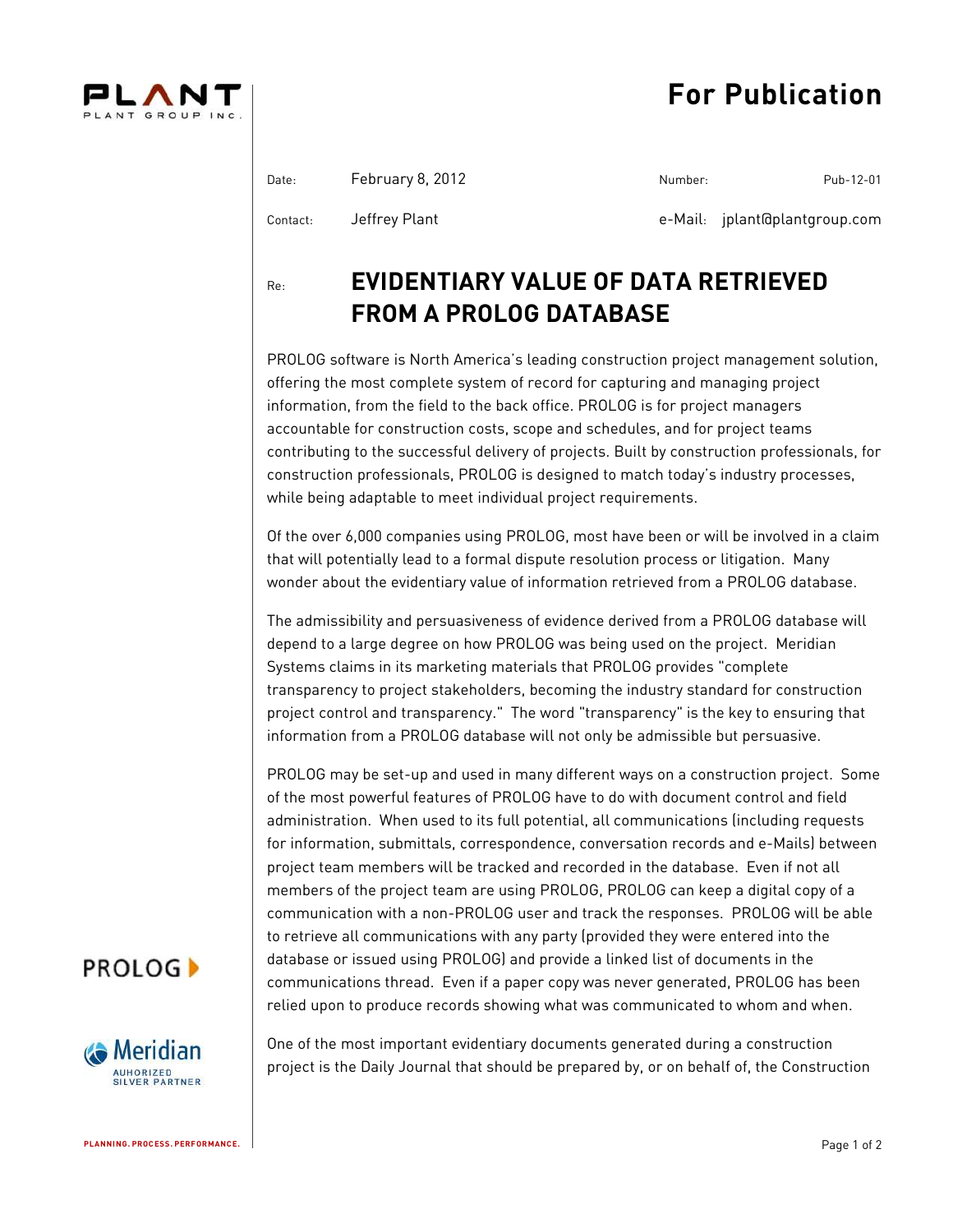# **For Publication**



| Date:    | February 8, 2012 | Number: | Pub-12-01                     |
|----------|------------------|---------|-------------------------------|
| Contact: | Jeffrey Plant    |         | e-Mail: jplant@plantgroup.com |

Re: **EVIDENTIARY VALUE OF DATA RETRIEVED FROM A PROLOG DATABASE**

PROLOG software is North America's leading construction project management solution, offering the most complete system of record for capturing and managing project information, from the field to the back office. PROLOG is for project managers accountable for construction costs, scope and schedules, and for project teams contributing to the successful delivery of projects. Built by construction professionals, for construction professionals, PROLOG is designed to match today's industry processes, while being adaptable to meet individual project requirements.

Of the over 6,000 companies using PROLOG, most have been or will be involved in a claim that will potentially lead to a formal dispute resolution process or litigation. Many wonder about the evidentiary value of information retrieved from a PROLOG database.

The admissibility and persuasiveness of evidence derived from a PROLOG database will depend to a large degree on how PROLOG was being used on the project. Meridian Systems claims in its marketing materials that PROLOG provides "complete transparency to project stakeholders, becoming the industry standard for construction project control and transparency." The word "transparency" is the key to ensuring that information from a PROLOG database will not only be admissible but persuasive.

PROLOG may be set-up and used in many different ways on a construction project. Some of the most powerful features of PROLOG have to do with document control and field administration. When used to its full potential, all communications (including requests for information, submittals, correspondence, conversation records and e-Mails) between project team members will be tracked and recorded in the database. Even if not all members of the project team are using PROLOG, PROLOG can keep a digital copy of a communication with a non-PROLOG user and track the responses. PROLOG will be able to retrieve all communications with any party (provided they were entered into the database or issued using PROLOG) and provide a linked list of documents in the communications thread. Even if a paper copy was never generated, PROLOG has been relied upon to produce records showing what was communicated to whom and when.

## **PROLOG**



One of the most important evidentiary documents generated during a construction project is the Daily Journal that should be prepared by, or on behalf of, the Construction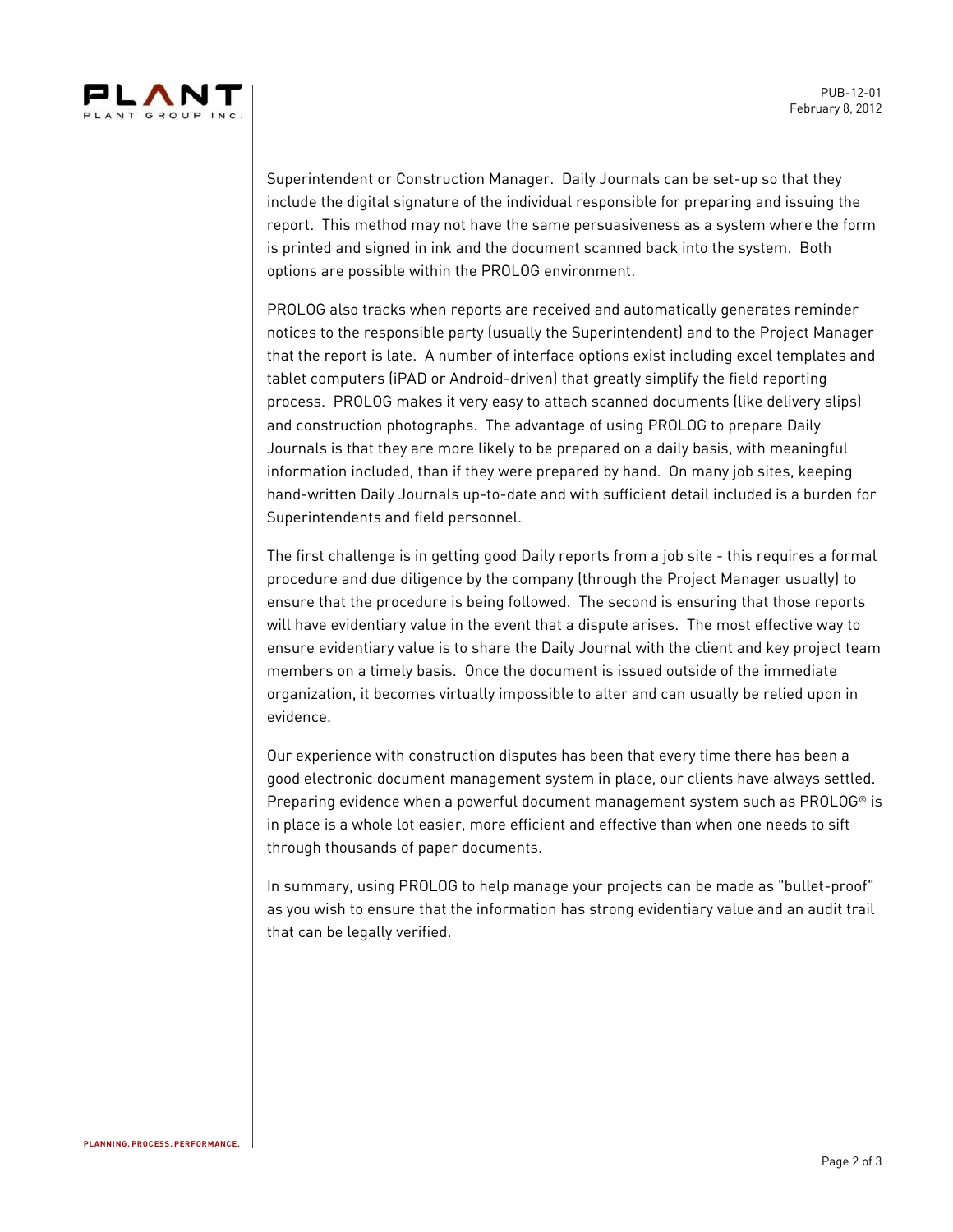

Superintendent or Construction Manager. Daily Journals can be set-up so that they include the digital signature of the individual responsible for preparing and issuing the report. This method may not have the same persuasiveness as a system where the form is printed and signed in ink and the document scanned back into the system. Both options are possible within the PROLOG environment.

PROLOG also tracks when reports are received and automatically generates reminder notices to the responsible party (usually the Superintendent) and to the Project Manager that the report is late. A number of interface options exist including excel templates and tablet computers (iPAD or Android-driven) that greatly simplify the field reporting process. PROLOG makes it very easy to attach scanned documents (like delivery slips) and construction photographs. The advantage of using PROLOG to prepare Daily Journals is that they are more likely to be prepared on a daily basis, with meaningful information included, than if they were prepared by hand. On many job sites, keeping hand-written Daily Journals up-to-date and with sufficient detail included is a burden for Superintendents and field personnel.

The first challenge is in getting good Daily reports from a job site - this requires a formal procedure and due diligence by the company (through the Project Manager usually) to ensure that the procedure is being followed. The second is ensuring that those reports will have evidentiary value in the event that a dispute arises. The most effective way to ensure evidentiary value is to share the Daily Journal with the client and key project team members on a timely basis. Once the document is issued outside of the immediate organization, it becomes virtually impossible to alter and can usually be relied upon in evidence.

Our experience with construction disputes has been that every time there has been a good electronic document management system in place, our clients have always settled. Preparing evidence when a powerful document management system such as PROLOG® is in place is a whole lot easier, more efficient and effective than when one needs to sift through thousands of paper documents.

In summary, using PROLOG to help manage your projects can be made as "bullet-proof" as you wish to ensure that the information has strong evidentiary value and an audit trail that can be legally verified.